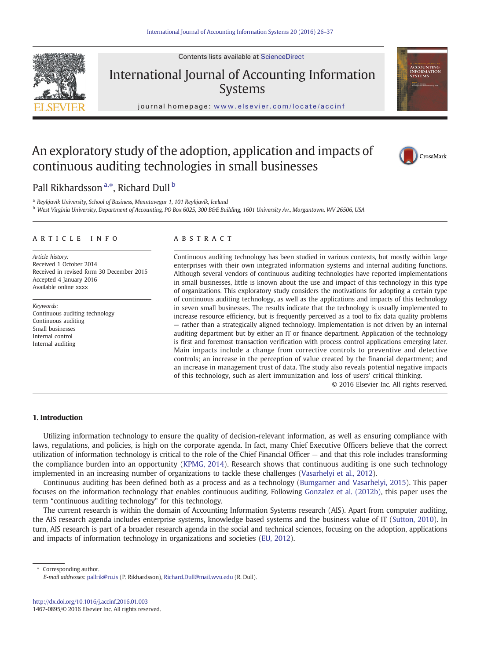Contents lists available at ScienceDirect

# International Journal of Accounting Information Systems

journal homepage: www.elsevier.com/locate/accine/accine/accine/accine/accine/accine/accine/accine/accine/accine/accine/accine/accine/accine/accine/accine/accine/accine/accine/accine/accine/accine/accine/accine/accine/acci



# An exploratory study of the adoption, application and impacts of continuous auditing technologies in small businesses



# Pall Rikhardsson<sup>a,\*</sup>, Richard Dull<sup>b</sup>

<sup>a</sup> Reykjavik University, School of Business, Menntavegur 1, 101 Reykjavík, Iceland

b West Virginia University, Department of Accounting, PO Box 6025, 300 B&E Building, 1601 University Av., Morgantown, WV 26506, USA

#### article info abstract

Article history: Received 1 October 2014 Received in revised form 30 December 2015 Accepted 4 January 2016 Available online xxxx

Keywords: Continuous auditing technology Continuous auditing Small businesses Internal control Internal auditing

Continuous auditing technology has been studied in various contexts, but mostly within large enterprises with their own integrated information systems and internal auditing functions. Although several vendors of continuous auditing technologies have reported implementations in small businesses, little is known about the use and impact of this technology in this type of organizations. This exploratory study considers the motivations for adopting a certain type of continuous auditing technology, as well as the applications and impacts of this technology in seven small businesses. The results indicate that the technology is usually implemented to increase resource efficiency, but is frequently perceived as a tool to fix data quality problems — rather than a strategically aligned technology. Implementation is not driven by an internal auditing department but by either an IT or finance department. Application of the technology is first and foremost transaction verification with process control applications emerging later. Main impacts include a change from corrective controls to preventive and detective controls; an increase in the perception of value created by the financial department; and an increase in management trust of data. The study also reveals potential negative impacts of this technology, such as alert immunization and loss of users' critical thinking.

© 2016 Elsevier Inc. All rights reserved.

## 1. Introduction

Utilizing information technology to ensure the quality of decision-relevant information, as well as ensuring compliance with laws, regulations, and policies, is high on the corporate agenda. In fact, many Chief Executive Officers believe that the correct utilization of information technology is critical to the role of the Chief Financial Officer — and that this role includes transforming the compliance burden into an opportunity [\(KPMG, 2014\)](#page-11-0). Research shows that continuous auditing is one such technology implemented in an increasing number of organizations to tackle these challenges [\(Vasarhelyi et al., 2012](#page-11-0)).

Continuous auditing has been defined both as a process and as a technology [\(Bumgarner and Vasarhelyi, 2015\)](#page-10-0). This paper focuses on the information technology that enables continuous auditing. Following [Gonzalez et al. \(2012b\)](#page-11-0), this paper uses the term "continuous auditing technology" for this technology.

The current research is within the domain of Accounting Information Systems research (AIS). Apart from computer auditing, the AIS research agenda includes enterprise systems, knowledge based systems and the business value of IT [\(Sutton, 2010\)](#page-11-0). In turn, AIS research is part of a broader research agenda in the social and technical sciences, focusing on the adoption, applications and impacts of information technology in organizations and societies [\(EU, 2012\)](#page-11-0).

Corresponding author. E-mail addresses: [pallrik@ru.is](mailto:pallrik@ru.is) (P. Rikhardsson), [Richard.Dull@mail.wvu.edu](mailto:Richard.Dull@mail.wvu.edu) (R. Dull).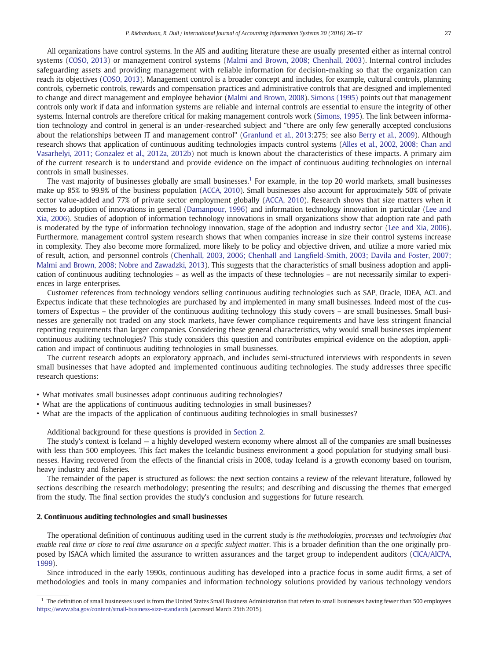All organizations have control systems. In the AIS and auditing literature these are usually presented either as internal control systems [\(COSO, 2013\)](#page-10-0) or management control systems ([Malmi and Brown, 2008; Chenhall, 2003](#page-11-0)). Internal control includes safeguarding assets and providing management with reliable information for decision-making so that the organization can reach its objectives [\(COSO, 2013](#page-10-0)). Management control is a broader concept and includes, for example, cultural controls, planning controls, cybernetic controls, rewards and compensation practices and administrative controls that are designed and implemented to change and direct management and employee behavior ([Malmi and Brown, 2008](#page-11-0)). [Simons \(1995\)](#page-11-0) points out that management controls only work if data and information systems are reliable and internal controls are essential to ensure the integrity of other systems. Internal controls are therefore critical for making management controls work [\(Simons, 1995](#page-11-0)). The link between information technology and control in general is an under-researched subject and "there are only few generally accepted conclusions about the relationships between IT and management control" [\(Granlund et al., 2013](#page-11-0):275; see also [Berry et al., 2009](#page-10-0)). Although research shows that application of continuous auditing technologies impacts control systems [\(Alles et al., 2002, 2008; Chan and](#page-10-0) [Vasarhelyi, 2011; Gonzalez et al., 2012a, 2012b\)](#page-10-0) not much is known about the characteristics of these impacts. A primary aim of the current research is to understand and provide evidence on the impact of continuous auditing technologies on internal controls in small businesses.

The vast majority of businesses globally are small businesses.<sup>1</sup> For example, in the top 20 world markets, small businesses make up 85% to 99.9% of the business population ([ACCA, 2010\)](#page-10-0). Small businesses also account for approximately 50% of private sector value-added and 77% of private sector employment globally ([ACCA, 2010\)](#page-10-0). Research shows that size matters when it comes to adoption of innovations in general [\(Damanpour, 1996](#page-10-0)) and information technology innovation in particular [\(Lee and](#page-11-0) [Xia, 2006](#page-11-0)). Studies of adoption of information technology innovations in small organizations show that adoption rate and path is moderated by the type of information technology innovation, stage of the adoption and industry sector ([Lee and Xia, 2006](#page-11-0)). Furthermore, management control system research shows that when companies increase in size their control systems increase in complexity. They also become more formalized, more likely to be policy and objective driven, and utilize a more varied mix of result, action, and personnel controls (Chenhall, 2003, 2006; Chenhall and Langfi[eld-Smith, 2003; Davila and Foster, 2007;](#page-10-0) [Malmi and Brown, 2008; Nobre and Zawadzki, 2013](#page-10-0)). This suggests that the characteristics of small business adoption and application of continuous auditing technologies – as well as the impacts of these technologies – are not necessarily similar to experiences in large enterprises.

Customer references from technology vendors selling continuous auditing technologies such as SAP, Oracle, IDEA, ACL and Expectus indicate that these technologies are purchased by and implemented in many small businesses. Indeed most of the customers of Expectus – the provider of the continuous auditing technology this study covers – are small businesses. Small businesses are generally not traded on any stock markets, have fewer compliance requirements and have less stringent financial reporting requirements than larger companies. Considering these general characteristics, why would small businesses implement continuous auditing technologies? This study considers this question and contributes empirical evidence on the adoption, application and impact of continuous auditing technologies in small businesses.

The current research adopts an exploratory approach, and includes semi-structured interviews with respondents in seven small businesses that have adopted and implemented continuous auditing technologies. The study addresses three specific research questions:

- What motivates small businesses adopt continuous auditing technologies?
- What are the applications of continuous auditing technologies in small businesses?
- What are the impacts of the application of continuous auditing technologies in small businesses?

Additional background for these questions is provided in Section 2.

The study's context is Iceland  $-$  a highly developed western economy where almost all of the companies are small businesses with less than 500 employees. This fact makes the Icelandic business environment a good population for studying small businesses. Having recovered from the effects of the financial crisis in 2008, today Iceland is a growth economy based on tourism, heavy industry and fisheries.

The remainder of the paper is structured as follows: the next section contains a review of the relevant literature, followed by sections describing the research methodology; presenting the results; and describing and discussing the themes that emerged from the study. The final section provides the study's conclusion and suggestions for future research.

# 2. Continuous auditing technologies and small businesses

The operational definition of continuous auditing used in the current study is the methodologies, processes and technologies that enable real time or close to real time assurance on a specific subject matter. This is a broader definition than the one originally proposed by ISACA which limited the assurance to written assurances and the target group to independent auditors [\(CICA/AICPA,](#page-10-0) [1999\)](#page-10-0).

Since introduced in the early 1990s, continuous auditing has developed into a practice focus in some audit firms, a set of methodologies and tools in many companies and information technology solutions provided by various technology vendors

<sup>&</sup>lt;sup>1</sup> The definition of small businesses used is from the United States Small Business Administration that refers to small businesses having fewer than 500 employees <https://www.sba.gov/content/small-business-size-standards> (accessed March 25th 2015).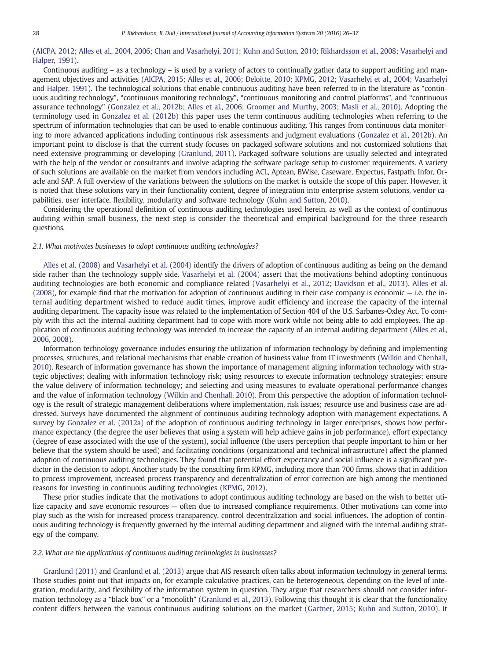# <span id="page-2-0"></span>[\(AICPA, 2012; Alles et al., 2004, 2006; Chan and Vasarhelyi, 2011; Kuhn and Sutton, 2010; Rikhardsson et al., 2008; Vasarhelyi and](#page-10-0) [Halper, 1991](#page-10-0)).

Continuous auditing – as a technology – is used by a variety of actors to continually gather data to support auditing and management objectives and activities [\(AICPA, 2015; Alles et al., 2006; Deloitte, 2010; KPMG, 2012; Vasarhelyi et al., 2004; Vasarhelyi](#page-10-0) [and Halper, 1991\)](#page-10-0). The technological solutions that enable continuous auditing have been referred to in the literature as "continuous auditing technology", "continuous monitoring technology", "continuous monitoring and control platforms", and "continuous assurance technology" [\(Gonzalez et al., 2012b; Alles et al., 2006; Groomer and Murthy, 2003; Masli et al., 2010](#page-11-0)). Adopting the terminology used in [Gonzalez et al. \(2012b\)](#page-11-0) this paper uses the term continuous auditing technologies when referring to the spectrum of information technologies that can be used to enable continuous auditing. This ranges from continuous data monitoring to more advanced applications including continuous risk assessments and judgment evaluations ([Gonzalez et al., 2012b](#page-11-0)). An important point to disclose is that the current study focuses on packaged software solutions and not customized solutions that need extensive programming or developing ([Granlund, 2011](#page-11-0)). Packaged software solutions are usually selected and integrated with the help of the vendor or consultants and involve adapting the software package setup to customer requirements. A variety of such solutions are available on the market from vendors including ACL, Aptean, BWise, Caseware, Expectus, Fastpath, Infor, Oracle and SAP. A full overview of the variations between the solutions on the market is outside the scope of this paper. However, it is noted that these solutions vary in their functionality content, degree of integration into enterprise system solutions, vendor capabilities, user interface, flexibility, modularity and software technology [\(Kuhn and Sutton, 2010](#page-11-0)).

Considering the operational definition of continuous auditing technologies used herein, as well as the context of continuous auditing within small business, the next step is consider the theoretical and empirical background for the three research questions.

# 2.1. What motivates businesses to adopt continuous auditing technologies?

[Alles et al. \(2008\)](#page-10-0) and [Vasarhelyi et al. \(2004\)](#page-11-0) identify the drivers of adoption of continuous auditing as being on the demand side rather than the technology supply side. [Vasarhelyi et al. \(2004\)](#page-11-0) assert that the motivations behind adopting continuous auditing technologies are both economic and compliance related [\(Vasarhelyi et al., 2012; Davidson et al., 2013](#page-11-0)). [Alles et al.](#page-10-0) [\(2008\),](#page-10-0) for example find that the motivation for adoption of continuous auditing in their case company is economic — i.e. the internal auditing department wished to reduce audit times, improve audit efficiency and increase the capacity of the internal auditing department. The capacity issue was related to the implementation of Section 404 of the U.S. Sarbanes-Oxley Act. To comply with this act the internal auditing department had to cope with more work while not being able to add employees. The application of continuous auditing technology was intended to increase the capacity of an internal auditing department [\(Alles et al.,](#page-10-0) [2006, 2008](#page-10-0)).

Information technology governance includes ensuring the utilization of information technology by defining and implementing processes, structures, and relational mechanisms that enable creation of business value from IT investments [\(Wilkin and Chenhall,](#page-11-0) [2010\)](#page-11-0). Research of information governance has shown the importance of management aligning information technology with strategic objectives; dealing with information technology risk; using resources to execute information technology strategies; ensure the value delivery of information technology; and selecting and using measures to evaluate operational performance changes and the value of information technology ([Wilkin and Chenhall, 2010](#page-11-0)). From this perspective the adoption of information technology is the result of strategic management deliberations where implementation, risk issues; resource use and business case are addressed. Surveys have documented the alignment of continuous auditing technology adoption with management expectations. A survey by [Gonzalez et al. \(2012a\)](#page-11-0) of the adoption of continuous auditing technology in larger enterprises, shows how performance expectancy (the degree the user believes that using a system will help achieve gains in job performance), effort expectancy (degree of ease associated with the use of the system), social influence (the users perception that people important to him or her believe that the system should be used) and facilitating conditions (organizational and technical infrastructure) affect the planned adoption of continuous auditing technologies. They found that potential effort expectancy and social influence is a significant predictor in the decision to adopt. Another study by the consulting firm KPMG, including more than 700 firms, shows that in addition to process improvement, increased process transparency and decentralization of error correction are high among the mentioned reasons for investing in continuous auditing technologies ([KPMG, 2012](#page-11-0)).

These prior studies indicate that the motivations to adopt continuous auditing technology are based on the wish to better utilize capacity and save economic resources — often due to increased compliance requirements. Other motivations can come into play such as the wish for increased process transparency, control decentralization and social influences. The adoption of continuous auditing technology is frequently governed by the internal auditing department and aligned with the internal auditing strategy of the company.

# 2.2. What are the applications of continuous auditing technologies in businesses?

[Granlund \(2011\)](#page-11-0) and [Granlund et al. \(2013\)](#page-11-0) argue that AIS research often talks about information technology in general terms. Those studies point out that impacts on, for example calculative practices, can be heterogeneous, depending on the level of integration, modularity, and flexibility of the information system in question. They argue that researchers should not consider information technology as a "black box" or a "monolith" ([Granlund et al., 2013\)](#page-11-0). Following this thought it is clear that the functionality content differs between the various continuous auditing solutions on the market [\(Gartner, 2015; Kuhn and Sutton, 2010](#page-11-0)). It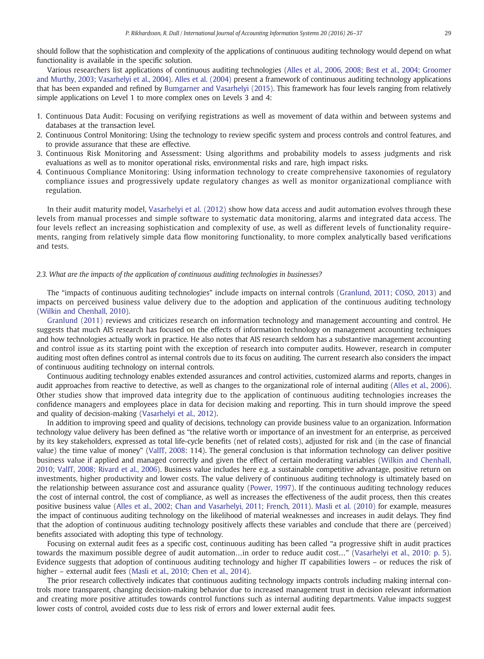should follow that the sophistication and complexity of the applications of continuous auditing technology would depend on what functionality is available in the specific solution.

Various researchers list applications of continuous auditing technologies ([Alles et al., 2006, 2008; Best et al., 2004; Groomer](#page-10-0) [and Murthy, 2003; Vasarhelyi et al., 2004](#page-10-0)). [Alles et al. \(2004\)](#page-10-0) present a framework of continuous auditing technology applications that has been expanded and refined by [Bumgarner and Vasarhelyi \(2015\)](#page-10-0). This framework has four levels ranging from relatively simple applications on Level 1 to more complex ones on Levels 3 and 4:

- 1. Continuous Data Audit: Focusing on verifying registrations as well as movement of data within and between systems and databases at the transaction level.
- 2. Continuous Control Monitoring: Using the technology to review specific system and process controls and control features, and to provide assurance that these are effective.
- 3. Continuous Risk Monitoring and Assessment: Using algorithms and probability models to assess judgments and risk evaluations as well as to monitor operational risks, environmental risks and rare, high impact risks.
- 4. Continuous Compliance Monitoring: Using information technology to create comprehensive taxonomies of regulatory compliance issues and progressively update regulatory changes as well as monitor organizational compliance with regulation.

In their audit maturity model, [Vasarhelyi et al. \(2012\)](#page-11-0) show how data access and audit automation evolves through these levels from manual processes and simple software to systematic data monitoring, alarms and integrated data access. The four levels reflect an increasing sophistication and complexity of use, as well as different levels of functionality requirements, ranging from relatively simple data flow monitoring functionality, to more complex analytically based verifications and tests.

# 2.3. What are the impacts of the application of continuous auditing technologies in businesses?

The "impacts of continuous auditing technologies" include impacts on internal controls [\(Granlund, 2011; COSO, 2013\)](#page-11-0) and impacts on perceived business value delivery due to the adoption and application of the continuous auditing technology ([Wilkin and Chenhall, 2010](#page-11-0)).

[Granlund \(2011\)](#page-11-0) reviews and criticizes research on information technology and management accounting and control. He suggests that much AIS research has focused on the effects of information technology on management accounting techniques and how technologies actually work in practice. He also notes that AIS research seldom has a substantive management accounting and control issue as its starting point with the exception of research into computer audits. However, research in computer auditing most often defines control as internal controls due to its focus on auditing. The current research also considers the impact of continuous auditing technology on internal controls.

Continuous auditing technology enables extended assurances and control activities, customized alarms and reports, changes in audit approaches from reactive to detective, as well as changes to the organizational role of internal auditing ([Alles et al., 2006](#page-10-0)). Other studies show that improved data integrity due to the application of continuous auditing technologies increases the confidence managers and employees place in data for decision making and reporting. This in turn should improve the speed and quality of decision-making [\(Vasarhelyi et al., 2012](#page-11-0)).

In addition to improving speed and quality of decisions, technology can provide business value to an organization. Information technology value delivery has been defined as "the relative worth or importance of an investment for an enterprise, as perceived by its key stakeholders, expressed as total life-cycle benefits (net of related costs), adjusted for risk and (in the case of financial value) the time value of money" [\(ValIT, 2008](#page-11-0): 114). The general conclusion is that information technology can deliver positive business value if applied and managed correctly and given the effect of certain moderating variables ([Wilkin and Chenhall,](#page-11-0) [2010; ValIT, 2008; Rivard et al., 2006\)](#page-11-0). Business value includes here e.g. a sustainable competitive advantage, positive return on investments, higher productivity and lower costs. The value delivery of continuous auditing technology is ultimately based on the relationship between assurance cost and assurance quality [\(Power, 1997\)](#page-11-0). If the continuous auditing technology reduces the cost of internal control, the cost of compliance, as well as increases the effectiveness of the audit process, then this creates positive business value [\(Alles et al., 2002; Chan and Vasarhelyi, 2011; French, 2011\)](#page-10-0). [Masli et al. \(2010\)](#page-11-0) for example, measures the impact of continuous auditing technology on the likelihood of material weaknesses and increases in audit delays. They find that the adoption of continuous auditing technology positively affects these variables and conclude that there are (perceived) benefits associated with adopting this type of technology.

Focusing on external audit fees as a specific cost, continuous auditing has been called "a progressive shift in audit practices towards the maximum possible degree of audit automation…in order to reduce audit cost…" [\(Vasarhelyi et al., 2010: p. 5](#page-11-0)). Evidence suggests that adoption of continuous auditing technology and higher IT capabilities lowers – or reduces the risk of higher – external audit fees [\(Masli et al., 2010; Chen et al., 2014](#page-11-0)).

The prior research collectively indicates that continuous auditing technology impacts controls including making internal controls more transparent, changing decision-making behavior due to increased management trust in decision relevant information and creating more positive attitudes towards control functions such as internal auditing departments. Value impacts suggest lower costs of control, avoided costs due to less risk of errors and lower external audit fees.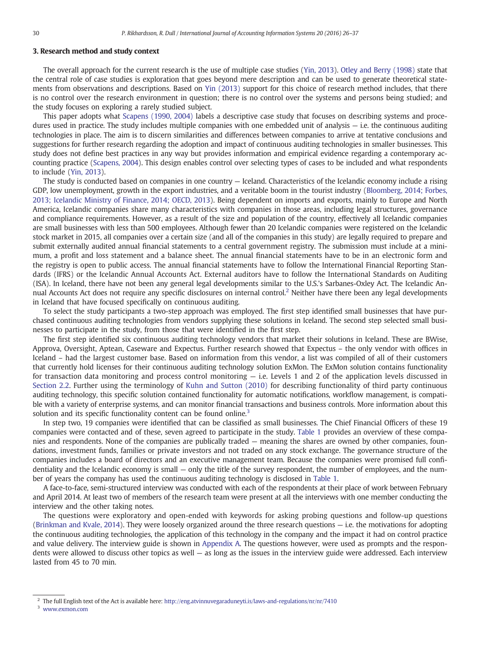# 3. Research method and study context

The overall approach for the current research is the use of multiple case studies ([Yin, 2013\)](#page-11-0). [Otley and Berry \(1998\)](#page-11-0) state that the central role of case studies is exploration that goes beyond mere description and can be used to generate theoretical statements from observations and descriptions. Based on [Yin \(2013\)](#page-11-0) support for this choice of research method includes, that there is no control over the research environment in question; there is no control over the systems and persons being studied; and the study focuses on exploring a rarely studied subject.

This paper adopts what [Scapens \(1990, 2004\)](#page-11-0) labels a descriptive case study that focuses on describing systems and procedures used in practice. The study includes multiple companies with one embedded unit of analysis — i.e. the continuous auditing technologies in place. The aim is to discern similarities and differences between companies to arrive at tentative conclusions and suggestions for further research regarding the adoption and impact of continuous auditing technologies in smaller businesses. This study does not define best practices in any way but provides information and empirical evidence regarding a contemporary accounting practice ([Scapens, 2004](#page-11-0)). This design enables control over selecting types of cases to be included and what respondents to include [\(Yin, 2013\)](#page-11-0).

The study is conducted based on companies in one country — Iceland. Characteristics of the Icelandic economy include a rising GDP, low unemployment, growth in the export industries, and a veritable boom in the tourist industry [\(Bloomberg, 2014; Forbes,](#page-10-0) [2013; Icelandic Ministry of Finance, 2014; OECD, 2013](#page-10-0)). Being dependent on imports and exports, mainly to Europe and North America, Icelandic companies share many characteristics with companies in those areas, including legal structures, governance and compliance requirements. However, as a result of the size and population of the country, effectively all Icelandic companies are small businesses with less than 500 employees. Although fewer than 20 Icelandic companies were registered on the Icelandic stock market in 2015, all companies over a certain size (and all of the companies in this study) are legally required to prepare and submit externally audited annual financial statements to a central government registry. The submission must include at a minimum, a profit and loss statement and a balance sheet. The annual financial statements have to be in an electronic form and the registry is open to public access. The annual financial statements have to follow the International Financial Reporting Standards (IFRS) or the Icelandic Annual Accounts Act. External auditors have to follow the International Standards on Auditing (ISA). In Iceland, there have not been any general legal developments similar to the U.S.'s Sarbanes-Oxley Act. The Icelandic Annual Accounts Act does not require any specific disclosures on internal control.<sup>2</sup> Neither have there been any legal developments in Iceland that have focused specifically on continuous auditing.

To select the study participants a two-step approach was employed. The first step identified small businesses that have purchased continuous auditing technologies from vendors supplying these solutions in Iceland. The second step selected small businesses to participate in the study, from those that were identified in the first step.

The first step identified six continuous auditing technology vendors that market their solutions in Iceland. These are BWise, Approva, Oversight, Aptean, Caseware and Expectus. Further research showed that Expectus – the only vendor with offices in Iceland – had the largest customer base. Based on information from this vendor, a list was compiled of all of their customers that currently hold licenses for their continuous auditing technology solution ExMon. The ExMon solution contains functionality for transaction data monitoring and process control monitoring  $-$  i.e. Levels 1 and 2 of the application levels discussed in [Section 2.2.](#page-2-0) Further using the terminology of [Kuhn and Sutton \(2010\)](#page-11-0) for describing functionality of third party continuous auditing technology, this specific solution contained functionality for automatic notifications, workflow management, is compatible with a variety of enterprise systems, and can monitor financial transactions and business controls. More information about this solution and its specific functionality content can be found online.<sup>3</sup>

In step two, 19 companies were identified that can be classified as small businesses. The Chief Financial Officers of these 19 companies were contacted and of these, seven agreed to participate in the study. [Table 1](#page-5-0) provides an overview of these companies and respondents. None of the companies are publically traded — meaning the shares are owned by other companies, foundations, investment funds, families or private investors and not traded on any stock exchange. The governance structure of the companies includes a board of directors and an executive management team. Because the companies were promised full confidentiality and the Icelandic economy is small — only the title of the survey respondent, the number of employees, and the number of years the company has used the continuous auditing technology is disclosed in [Table 1](#page-5-0).

A face-to-face, semi-structured interview was conducted with each of the respondents at their place of work between February and April 2014. At least two of members of the research team were present at all the interviews with one member conducting the interview and the other taking notes.

The questions were exploratory and open-ended with keywords for asking probing questions and follow-up questions [\(Brinkman and Kvale, 2014\)](#page-10-0). They were loosely organized around the three research questions — i.e. the motivations for adopting the continuous auditing technologies, the application of this technology in the company and the impact it had on control practice and value delivery. The interview guide is shown in [Appendix A.](#page-10-0) The questions however, were used as prompts and the respondents were allowed to discuss other topics as well — as long as the issues in the interview guide were addressed. Each interview lasted from 45 to 70 min.

<sup>&</sup>lt;sup>2</sup> The full English text of the Act is available here: <http://eng.atvinnuvegaraduneyti.is/laws-and-regulations/nr/nr/7410>

<sup>3</sup> [www.exmon.com](http://www.exmon.com)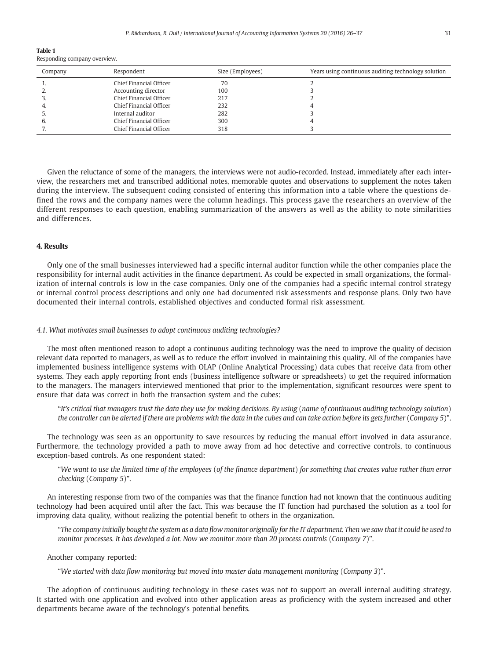<span id="page-5-0"></span>

| Table 1                      |  |
|------------------------------|--|
| Responding company overview. |  |

| Company | Respondent              | Size (Employees) | Years using continuous auditing technology solution |
|---------|-------------------------|------------------|-----------------------------------------------------|
|         | Chief Financial Officer | 70               |                                                     |
|         | Accounting director     | 100              |                                                     |
|         | Chief Financial Officer | 217              |                                                     |
|         | Chief Financial Officer | 232              |                                                     |
|         | Internal auditor        | 282              |                                                     |
| b.      | Chief Financial Officer | 300              |                                                     |
|         | Chief Financial Officer | 318              |                                                     |

Given the reluctance of some of the managers, the interviews were not audio-recorded. Instead, immediately after each interview, the researchers met and transcribed additional notes, memorable quotes and observations to supplement the notes taken during the interview. The subsequent coding consisted of entering this information into a table where the questions defined the rows and the company names were the column headings. This process gave the researchers an overview of the different responses to each question, enabling summarization of the answers as well as the ability to note similarities and differences.

# 4. Results

Only one of the small businesses interviewed had a specific internal auditor function while the other companies place the responsibility for internal audit activities in the finance department. As could be expected in small organizations, the formalization of internal controls is low in the case companies. Only one of the companies had a specific internal control strategy or internal control process descriptions and only one had documented risk assessments and response plans. Only two have documented their internal controls, established objectives and conducted formal risk assessment.

# 4.1. What motivates small businesses to adopt continuous auditing technologies?

The most often mentioned reason to adopt a continuous auditing technology was the need to improve the quality of decision relevant data reported to managers, as well as to reduce the effort involved in maintaining this quality. All of the companies have implemented business intelligence systems with OLAP (Online Analytical Processing) data cubes that receive data from other systems. They each apply reporting front ends (business intelligence software or spreadsheets) to get the required information to the managers. The managers interviewed mentioned that prior to the implementation, significant resources were spent to ensure that data was correct in both the transaction system and the cubes:

"It's critical that managers trust the data they use for making decisions. By using (name of continuous auditing technology solution) the controller can be alerted if there are problems with the data in the cubes and can take action before its gets further (Company 5)".

The technology was seen as an opportunity to save resources by reducing the manual effort involved in data assurance. Furthermore, the technology provided a path to move away from ad hoc detective and corrective controls, to continuous exception-based controls. As one respondent stated:

"We want to use the limited time of the employees (of the finance department) for something that creates value rather than error checking (Company 5)".

An interesting response from two of the companies was that the finance function had not known that the continuous auditing technology had been acquired until after the fact. This was because the IT function had purchased the solution as a tool for improving data quality, without realizing the potential benefit to others in the organization.

"The company initially bought the system as a data flow monitor originally for the IT department. Then we saw that it could be used to monitor processes. It has developed a lot. Now we monitor more than 20 process controls (Company 7)".

Another company reported:

"We started with data flow monitoring but moved into master data management monitoring (Company 3)".

The adoption of continuous auditing technology in these cases was not to support an overall internal auditing strategy. It started with one application and evolved into other application areas as proficiency with the system increased and other departments became aware of the technology's potential benefits.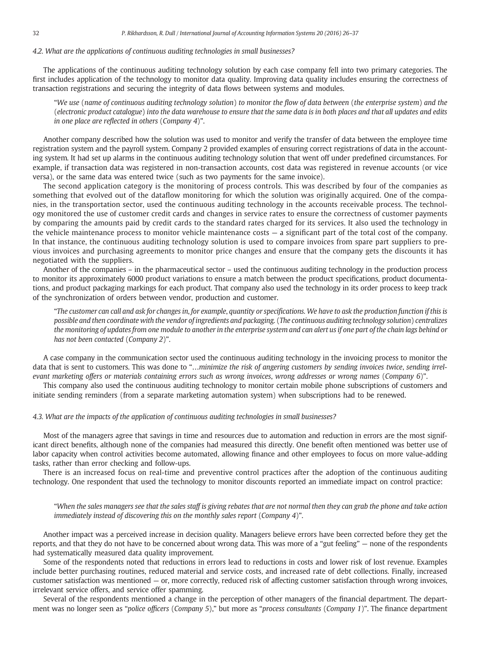#### 4.2. What are the applications of continuous auditing technologies in small businesses?

The applications of the continuous auditing technology solution by each case company fell into two primary categories. The first includes application of the technology to monitor data quality. Improving data quality includes ensuring the correctness of transaction registrations and securing the integrity of data flows between systems and modules.

"We use (name of continuous auditing technology solution) to monitor the flow of data between (the enterprise system) and the (electronic product catalogue) into the data warehouse to ensure that the same data is in both places and that all updates and edits in one place are reflected in others (Company 4)".

Another company described how the solution was used to monitor and verify the transfer of data between the employee time registration system and the payroll system. Company 2 provided examples of ensuring correct registrations of data in the accounting system. It had set up alarms in the continuous auditing technology solution that went off under predefined circumstances. For example, if transaction data was registered in non-transaction accounts, cost data was registered in revenue accounts (or vice versa), or the same data was entered twice (such as two payments for the same invoice).

The second application category is the monitoring of process controls. This was described by four of the companies as something that evolved out of the dataflow monitoring for which the solution was originally acquired. One of the companies, in the transportation sector, used the continuous auditing technology in the accounts receivable process. The technology monitored the use of customer credit cards and changes in service rates to ensure the correctness of customer payments by comparing the amounts paid by credit cards to the standard rates charged for its services. It also used the technology in the vehicle maintenance process to monitor vehicle maintenance costs  $-$  a significant part of the total cost of the company. In that instance, the continuous auditing technology solution is used to compare invoices from spare part suppliers to previous invoices and purchasing agreements to monitor price changes and ensure that the company gets the discounts it has negotiated with the suppliers.

Another of the companies – in the pharmaceutical sector – used the continuous auditing technology in the production process to monitor its approximately 6000 product variations to ensure a match between the product specifications, product documentations, and product packaging markings for each product. That company also used the technology in its order process to keep track of the synchronization of orders between vendor, production and customer.

"The customer can call and ask for changes in, for example, quantity or specifications. We have to ask the production function if this is possible and then coordinate with the vendor of ingredients and packaging. (The continuous auditing technology solution) centralizes the monitoring of updates from one module to another in the enterprise system and can alert us if one part of the chain lags behind or has not been contacted (Company 2)".

A case company in the communication sector used the continuous auditing technology in the invoicing process to monitor the data that is sent to customers. This was done to "…minimize the risk of angering customers by sending invoices twice, sending irrelevant marketing offers or materials containing errors such as wrong invoices, wrong addresses or wrong names (Company 6)".

This company also used the continuous auditing technology to monitor certain mobile phone subscriptions of customers and initiate sending reminders (from a separate marketing automation system) when subscriptions had to be renewed.

# 4.3. What are the impacts of the application of continuous auditing technologies in small businesses?

Most of the managers agree that savings in time and resources due to automation and reduction in errors are the most significant direct benefits, although none of the companies had measured this directly. One benefit often mentioned was better use of labor capacity when control activities become automated, allowing finance and other employees to focus on more value-adding tasks, rather than error checking and follow-ups.

There is an increased focus on real-time and preventive control practices after the adoption of the continuous auditing technology. One respondent that used the technology to monitor discounts reported an immediate impact on control practice:

"When the sales managers see that the sales staff is giving rebates that are not normal then they can grab the phone and take action immediately instead of discovering this on the monthly sales report (Company 4)".

Another impact was a perceived increase in decision quality. Managers believe errors have been corrected before they get the reports, and that they do not have to be concerned about wrong data. This was more of a "gut feeling" — none of the respondents had systematically measured data quality improvement.

Some of the respondents noted that reductions in errors lead to reductions in costs and lower risk of lost revenue. Examples include better purchasing routines, reduced material and service costs, and increased rate of debt collections. Finally, increased customer satisfaction was mentioned — or, more correctly, reduced risk of affecting customer satisfaction through wrong invoices, irrelevant service offers, and service offer spamming.

Several of the respondents mentioned a change in the perception of other managers of the financial department. The department was no longer seen as "police officers (Company 5)," but more as "process consultants (Company 1)". The finance department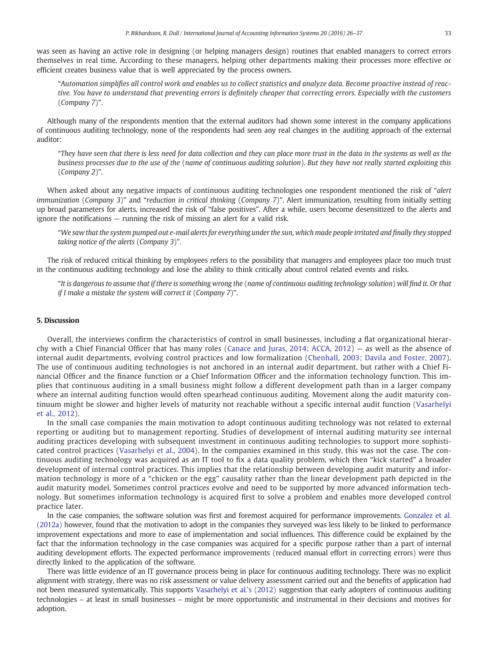was seen as having an active role in designing (or helping managers design) routines that enabled managers to correct errors themselves in real time. According to these managers, helping other departments making their processes more effective or efficient creates business value that is well appreciated by the process owners.

"Automation simplifies all control work and enables us to collect statistics and analyze data. Become proactive instead of reactive. You have to understand that preventing errors is definitely cheaper that correcting errors. Especially with the customers (Company 7)".

Although many of the respondents mention that the external auditors had shown some interest in the company applications of continuous auditing technology, none of the respondents had seen any real changes in the auditing approach of the external auditor:

"They have seen that there is less need for data collection and they can place more trust in the data in the systems as well as the business processes due to the use of the (name of continuous auditing solution). But they have not really started exploiting this (Company 2)".

When asked about any negative impacts of continuous auditing technologies one respondent mentioned the risk of "alert immunization (Company 3)" and "reduction in critical thinking (Company 7)". Alert immunization, resulting from initially setting up broad parameters for alerts, increased the risk of "false positives". After a while, users become desensitized to the alerts and ignore the notifications — running the risk of missing an alert for a valid risk.

"We saw that the system pumped out e-mail alerts for everything under the sun, which made people irritated and finally they stopped taking notice of the alerts (Company 3)".

The risk of reduced critical thinking by employees refers to the possibility that managers and employees place too much trust in the continuous auditing technology and lose the ability to think critically about control related events and risks.

"It is dangerous to assume that if there is something wrong the (name of continuous auditing technology solution) will find it. Or that if I make a mistake the system will correct it (Company 7)".

# 5. Discussion

Overall, the interviews confirm the characteristics of control in small businesses, including a flat organizational hierarchy with a Chief Financial Officer that has many roles ([Canace and Juras, 2014; ACCA, 2012\)](#page-10-0) — as well as the absence of internal audit departments, evolving control practices and low formalization ([Chenhall, 2003; Davila and Foster, 2007](#page-10-0)). The use of continuous auditing technologies is not anchored in an internal audit department, but rather with a Chief Financial Officer and the finance function or a Chief Information Officer and the information technology function. This implies that continuous auditing in a small business might follow a different development path than in a larger company where an internal auditing function would often spearhead continuous auditing. Movement along the audit maturity continuum might be slower and higher levels of maturity not reachable without a specific internal audit function ([Vasarhelyi](#page-11-0) [et al., 2012\)](#page-11-0).

In the small case companies the main motivation to adopt continuous auditing technology was not related to external reporting or auditing but to management reporting. Studies of development of internal auditing maturity see internal auditing practices developing with subsequent investment in continuous auditing technologies to support more sophisticated control practices [\(Vasarhelyi et al., 2004\)](#page-11-0). In the companies examined in this study, this was not the case. The continuous auditing technology was acquired as an IT tool to fix a data quality problem, which then "kick started" a broader development of internal control practices. This implies that the relationship between developing audit maturity and information technology is more of a "chicken or the egg" causality rather than the linear development path depicted in the audit maturity model. Sometimes control practices evolve and need to be supported by more advanced information technology. But sometimes information technology is acquired first to solve a problem and enables more developed control practice later.

In the case companies, the software solution was first and foremost acquired for performance improvements. [Gonzalez et al.](#page-11-0) [\(2012a\)](#page-11-0) however, found that the motivation to adopt in the companies they surveyed was less likely to be linked to performance improvement expectations and more to ease of implementation and social influences. This difference could be explained by the fact that the information technology in the case companies was acquired for a specific purpose rather than a part of internal auditing development efforts. The expected performance improvements (reduced manual effort in correcting errors) were thus directly linked to the application of the software.

There was little evidence of an IT governance process being in place for continuous auditing technology. There was no explicit alignment with strategy, there was no risk assessment or value delivery assessment carried out and the benefits of application had not been measured systematically. This supports [Vasarhelyi et al.'s \(2012\)](#page-11-0) suggestion that early adopters of continuous auditing technologies – at least in small businesses – might be more opportunistic and instrumental in their decisions and motives for adoption.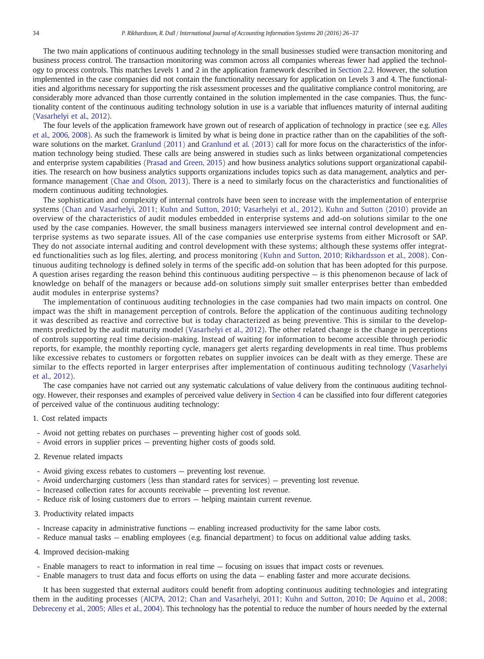The two main applications of continuous auditing technology in the small businesses studied were transaction monitoring and business process control. The transaction monitoring was common across all companies whereas fewer had applied the technology to process controls. This matches Levels 1 and 2 in the application framework described in [Section 2.2](#page-2-0). However, the solution implemented in the case companies did not contain the functionality necessary for application on Levels 3 and 4. The functionalities and algorithms necessary for supporting the risk assessment processes and the qualitative compliance control monitoring, are considerably more advanced than those currently contained in the solution implemented in the case companies. Thus, the functionality content of the continuous auditing technology solution in use is a variable that influences maturity of internal auditing [\(Vasarhelyi et al., 2012](#page-11-0)).

The four levels of the application framework have grown out of research of application of technology in practice (see e.g. [Alles](#page-10-0) [et al., 2006, 2008\)](#page-10-0). As such the framework is limited by what is being done in practice rather than on the capabilities of the software solutions on the market. [Granlund \(2011\)](#page-11-0) and [Granlund et al. \(2013\)](#page-11-0) call for more focus on the characteristics of the information technology being studied. These calls are being answered in studies such as links between organizational competencies and enterprise system capabilities ([Prasad and Green, 2015](#page-11-0)) and how business analytics solutions support organizational capabilities. The research on how business analytics supports organizations includes topics such as data management, analytics and performance management ([Chae and Olson, 2013\)](#page-10-0). There is a need to similarly focus on the characteristics and functionalities of modern continuous auditing technologies.

The sophistication and complexity of internal controls have been seen to increase with the implementation of enterprise systems [\(Chan and Vasarhelyi, 2011; Kuhn and Sutton, 2010; Vasarhelyi et al., 2012\)](#page-10-0). [Kuhn and Sutton \(2010\)](#page-11-0) provide an overview of the characteristics of audit modules embedded in enterprise systems and add-on solutions similar to the one used by the case companies. However, the small business managers interviewed see internal control development and enterprise systems as two separate issues. All of the case companies use enterprise systems from either Microsoft or SAP. They do not associate internal auditing and control development with these systems; although these systems offer integrated functionalities such as log files, alerting, and process monitoring [\(Kuhn and Sutton, 2010; Rikhardsson et al., 2008\)](#page-11-0). Continuous auditing technology is defined solely in terms of the specific add-on solution that has been adopted for this purpose. A question arises regarding the reason behind this continuous auditing perspective — is this phenomenon because of lack of knowledge on behalf of the managers or because add-on solutions simply suit smaller enterprises better than embedded audit modules in enterprise systems?

The implementation of continuous auditing technologies in the case companies had two main impacts on control. One impact was the shift in management perception of controls. Before the application of the continuous auditing technology it was described as reactive and corrective but is today characterized as being preventive. This is similar to the developments predicted by the audit maturity model [\(Vasarhelyi et al., 2012](#page-11-0)). The other related change is the change in perceptions of controls supporting real time decision-making. Instead of waiting for information to become accessible through periodic reports, for example, the monthly reporting cycle, managers get alerts regarding developments in real time. Thus problems like excessive rebates to customers or forgotten rebates on supplier invoices can be dealt with as they emerge. These are similar to the effects reported in larger enterprises after implementation of continuous auditing technology [\(Vasarhelyi](#page-11-0) [et al., 2012\)](#page-11-0).

The case companies have not carried out any systematic calculations of value delivery from the continuous auditing technology. However, their responses and examples of perceived value delivery in [Section 4](#page-5-0) can be classified into four different categories of perceived value of the continuous auditing technology:

- 1. Cost related impacts
- Avoid not getting rebates on purchases preventing higher cost of goods sold.
- Avoid errors in supplier prices preventing higher costs of goods sold.

# 2. Revenue related impacts

- Avoid giving excess rebates to customers preventing lost revenue.
- Avoid undercharging customers (less than standard rates for services) preventing lost revenue.
- Increased collection rates for accounts receivable preventing lost revenue.
- Reduce risk of losing customers due to errors helping maintain current revenue.

# 3. Productivity related impacts

- Increase capacity in administrative functions enabling increased productivity for the same labor costs.
- Reduce manual tasks enabling employees (e.g. financial department) to focus on additional value adding tasks.
- 4. Improved decision-making
- Enable managers to react to information in real time focusing on issues that impact costs or revenues.
- Enable managers to trust data and focus efforts on using the data enabling faster and more accurate decisions.

It has been suggested that external auditors could benefit from adopting continuous auditing technologies and integrating them in the auditing processes ([AICPA, 2012; Chan and Vasarhelyi, 2011; Kuhn and Sutton, 2010; De Aquino et al., 2008;](#page-10-0) [Debreceny et al., 2005; Alles et al., 2004](#page-10-0)). This technology has the potential to reduce the number of hours needed by the external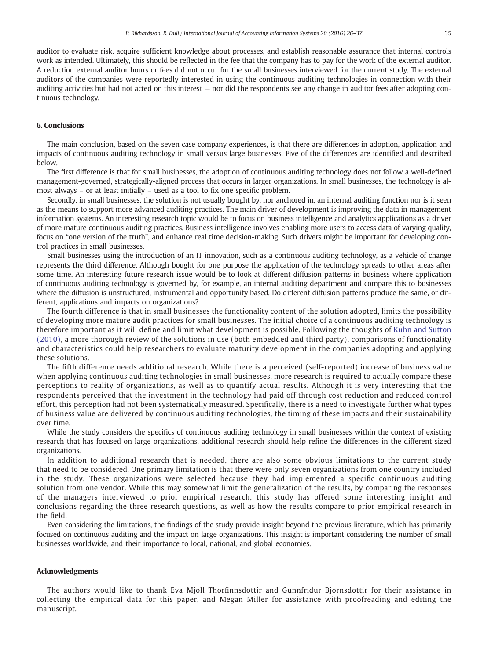auditor to evaluate risk, acquire sufficient knowledge about processes, and establish reasonable assurance that internal controls work as intended. Ultimately, this should be reflected in the fee that the company has to pay for the work of the external auditor. A reduction external auditor hours or fees did not occur for the small businesses interviewed for the current study. The external auditors of the companies were reportedly interested in using the continuous auditing technologies in connection with their auditing activities but had not acted on this interest — nor did the respondents see any change in auditor fees after adopting continuous technology.

# 6. Conclusions

The main conclusion, based on the seven case company experiences, is that there are differences in adoption, application and impacts of continuous auditing technology in small versus large businesses. Five of the differences are identified and described below.

The first difference is that for small businesses, the adoption of continuous auditing technology does not follow a well-defined management-governed, strategically-aligned process that occurs in larger organizations. In small businesses, the technology is almost always – or at least initially – used as a tool to fix one specific problem.

Secondly, in small businesses, the solution is not usually bought by, nor anchored in, an internal auditing function nor is it seen as the means to support more advanced auditing practices. The main driver of development is improving the data in management information systems. An interesting research topic would be to focus on business intelligence and analytics applications as a driver of more mature continuous auditing practices. Business intelligence involves enabling more users to access data of varying quality, focus on "one version of the truth", and enhance real time decision-making. Such drivers might be important for developing control practices in small businesses.

Small businesses using the introduction of an IT innovation, such as a continuous auditing technology, as a vehicle of change represents the third difference. Although bought for one purpose the application of the technology spreads to other areas after some time. An interesting future research issue would be to look at different diffusion patterns in business where application of continuous auditing technology is governed by, for example, an internal auditing department and compare this to businesses where the diffusion is unstructured, instrumental and opportunity based. Do different diffusion patterns produce the same, or different, applications and impacts on organizations?

The fourth difference is that in small businesses the functionality content of the solution adopted, limits the possibility of developing more mature audit practices for small businesses. The initial choice of a continuous auditing technology is therefore important as it will define and limit what development is possible. Following the thoughts of [Kuhn and Sutton](#page-11-0) [\(2010\)](#page-11-0), a more thorough review of the solutions in use (both embedded and third party), comparisons of functionality and characteristics could help researchers to evaluate maturity development in the companies adopting and applying these solutions.

The fifth difference needs additional research. While there is a perceived (self-reported) increase of business value when applying continuous auditing technologies in small businesses, more research is required to actually compare these perceptions to reality of organizations, as well as to quantify actual results. Although it is very interesting that the respondents perceived that the investment in the technology had paid off through cost reduction and reduced control effort, this perception had not been systematically measured. Specifically, there is a need to investigate further what types of business value are delivered by continuous auditing technologies, the timing of these impacts and their sustainability over time.

While the study considers the specifics of continuous auditing technology in small businesses within the context of existing research that has focused on large organizations, additional research should help refine the differences in the different sized organizations.

In addition to additional research that is needed, there are also some obvious limitations to the current study that need to be considered. One primary limitation is that there were only seven organizations from one country included in the study. These organizations were selected because they had implemented a specific continuous auditing solution from one vendor. While this may somewhat limit the generalization of the results, by comparing the responses of the managers interviewed to prior empirical research, this study has offered some interesting insight and conclusions regarding the three research questions, as well as how the results compare to prior empirical research in the field.

Even considering the limitations, the findings of the study provide insight beyond the previous literature, which has primarily focused on continuous auditing and the impact on large organizations. This insight is important considering the number of small businesses worldwide, and their importance to local, national, and global economies.

#### Acknowledgments

The authors would like to thank Eva Mjoll Thorfinnsdottir and Gunnfridur Bjornsdottir for their assistance in collecting the empirical data for this paper, and Megan Miller for assistance with proofreading and editing the manuscript.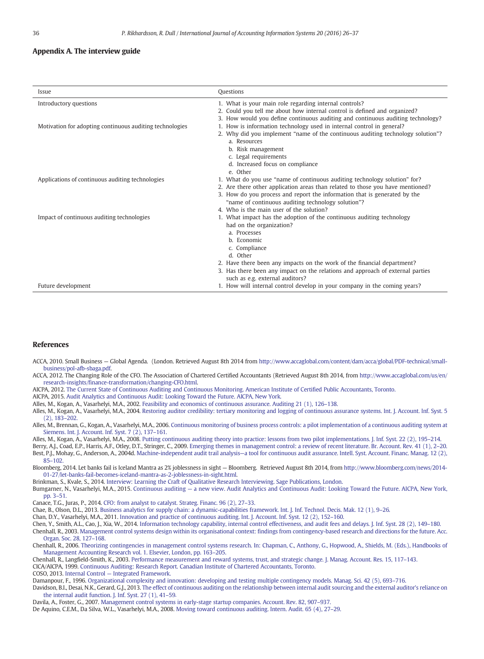# <span id="page-10-0"></span>Appendix A. The interview guide

| Issue                                                    | Ouestions                                                                                                                                                |
|----------------------------------------------------------|----------------------------------------------------------------------------------------------------------------------------------------------------------|
| Introductory questions                                   | 1. What is your main role regarding internal controls?<br>2. Could you tell me about how internal control is defined and organized?                      |
| Motivation for adopting continuous auditing technologies | 3. How would you define continuous auditing and continuous auditing technology?<br>1. How is information technology used in internal control in general? |
|                                                          | 2. Why did you implement "name of the continuous auditing technology solution"?<br>a. Resources                                                          |
|                                                          | b. Risk management                                                                                                                                       |
|                                                          | c. Legal requirements                                                                                                                                    |
|                                                          | d. Increased focus on compliance<br>e. Other                                                                                                             |
| Applications of continuous auditing technologies         | 1. What do you use "name of continuous auditing technology solution" for?                                                                                |
|                                                          | 2. Are there other application areas than related to those you have mentioned?                                                                           |
|                                                          | 3. How do you process and report the information that is generated by the                                                                                |
|                                                          | "name of continuous auditing technology solution"?                                                                                                       |
|                                                          | 4. Who is the main user of the solution?                                                                                                                 |
| Impact of continuous auditing technologies               | 1. What impact has the adoption of the continuous auditing technology                                                                                    |
|                                                          | had on the organization?<br>a. Processes                                                                                                                 |
|                                                          | b. Economic                                                                                                                                              |
|                                                          | c. Compliance                                                                                                                                            |
|                                                          | d. Other                                                                                                                                                 |
|                                                          | 2. Have there been any impacts on the work of the financial department?                                                                                  |
|                                                          | 3. Has there been any impact on the relations and approach of external parties<br>such as e.g. external auditors?                                        |
| Future development                                       | 1. How will internal control develop in your company in the coming years?                                                                                |

# References

ACCA, 2010. Small Business — Global Agenda. (London. Retrieved August 8th 2014 from [http://www.accaglobal.com/content/dam/acca/global/PDF-technical/small](http://www.accaglobal.com/content/dam/acca/global/PDF-technical/small-business/pol-afb-sbaga.pdf)[business/pol-afb-sbaga.pdf](http://www.accaglobal.com/content/dam/acca/global/PDF-technical/small-business/pol-afb-sbaga.pdf).

ACCA, 2012. The Changing Role of the CFO. The Association of Chartered Certified Accountants (Retrieved August 8th 2014, from [http://www.accaglobal.com/us/en/](http://www.accaglobal.com/us/en/research-insights/finance-transformation/changing-CFO.html) [research-insights/finance-transformation/changing-CFO.html](http://www.accaglobal.com/us/en/research-insights/finance-transformation/changing-CFO.html).

AICPA, 2012. [The Current State of Continuous Auditing and Continuous Monitoring. American Institute of Certified Public Accountants, Toronto.](http://refhub.elsevier.com/S1467-0895(16)30011-2/rf0015)

AICPA, 2015. [Audit Analytics and Continuous Audit: Looking Toward the Future. AICPA, New York](http://refhub.elsevier.com/S1467-0895(16)30011-2/rf0020).

Alles, M., Kogan, A., Vasarhelyi, M.A., 2002. [Feasibility and economics of continuous assurance. Auditing 21 \(1\), 126](http://refhub.elsevier.com/S1467-0895(16)30011-2/rf0025)–138.

Alles, M., Kogan, A., Vasarhelyi, M.A., 2004. [Restoring auditor credibility: tertiary monitoring and logging of continuous assurance systems. Int. J. Account. Inf. Syst. 5](http://refhub.elsevier.com/S1467-0895(16)30011-2/rf0030) [\(2\), 183](http://refhub.elsevier.com/S1467-0895(16)30011-2/rf0030)–202.

Alles, M., Brennan, G., Kogan, A., Vasarhelyi, M.A., 2006. [Continuous monitoring of business process controls: a pilot implementation of a continuous auditing system at](http://refhub.elsevier.com/S1467-0895(16)30011-2/rf0035) [Siemens. Int. J. Account. Inf. Syst. 7 \(2\), 137](http://refhub.elsevier.com/S1467-0895(16)30011-2/rf0035)–161.

Alles, M., Kogan, A., Vasarhelyi, M.A., 2008. [Putting continuous auditing theory into practice: lessons from two pilot implementations. J. Inf. Syst. 22 \(2\), 195](http://refhub.elsevier.com/S1467-0895(16)30011-2/rf0040)–214.

Berry, A.J., Coad, E.P., Harris, A.F., Otley, D.T., Stringer, C., 2009. [Emerging themes in management control: a review of recent literature. Br. Account. Rev. 41 \(1\), 2](http://refhub.elsevier.com/S1467-0895(16)30011-2/rf0045)–20. Best, P.J., Mohay, G., Anderson, A., 2004d. Machine-independent audit trail analysis—[a tool for continuous audit assurance. Intell. Syst. Account. Financ. Manag. 12 \(2\),](http://refhub.elsevier.com/S1467-0895(16)30011-2/rf0050) 85–[102](http://refhub.elsevier.com/S1467-0895(16)30011-2/rf0050).

Bloomberg, 2014. Let banks fail is Iceland Mantra as 2% joblessness in sight — Bloomberg. Retrieved August 8th 2014, from [http://www.bloomberg.com/news/2014-](http://www.bloomberg.com/news/2014-01-27/let-banks-fail-becomes-iceland-mantra-as-2-joblessness-in-sight.html) [01-27/let-banks-fail-becomes-iceland-mantra-as-2-joblessness-in-sight.html.](http://www.bloomberg.com/news/2014-01-27/let-banks-fail-becomes-iceland-mantra-as-2-joblessness-in-sight.html)

Brinkman, S., Kvale, S., 2014. [Interview: Learning the Craft of Qualitative Research Interviewing. Sage Publications, London](http://refhub.elsevier.com/S1467-0895(16)30011-2/rf0060).

Bumgarner, N., Vasarhelyi, M.A., 2015. Continuous auditing — [a new view. Audit Analytics and Continuous Audit: Looking Toward the Future. AICPA, New York,](http://refhub.elsevier.com/S1467-0895(16)30011-2/rf0065) [pp. 3](http://refhub.elsevier.com/S1467-0895(16)30011-2/rf0065)–51.

Canace, T.G., Juras, P., 2014. [CFO: from analyst to catalyst. Strateg. Financ. 96 \(2\), 27](http://refhub.elsevier.com/S1467-0895(16)30011-2/rf0070)–33.

Chae, B., Olson, D.L., 2013. [Business analytics for supply chain: a dynamic-capabilities framework. Int. J. Inf. Technol. Decis. Mak. 12 \(1\), 9](http://refhub.elsevier.com/S1467-0895(16)30011-2/rf0075)–26.

Chan, D.Y., Vasarhelyi, M.A., 2011. [Innovation and practice of continuous auditing. Int. J. Account. Inf. Syst. 12 \(2\), 152](http://refhub.elsevier.com/S1467-0895(16)30011-2/rf0080)–160.

Chen, Y., Smith, A.L., Cao, J., Xia, W., 2014. [Information technology capability, internal control effectiveness, and audit fees and delays. J. Inf. Syst. 28 \(2\), 149](http://refhub.elsevier.com/S1467-0895(16)30011-2/rf0085)–180.

Chenhall, R., 2003. [Management control systems design within its organisational context: findings from contingency-based research and directions for the future. Acc.](http://refhub.elsevier.com/S1467-0895(16)30011-2/rf0090) [Organ. Soc. 28, 127](http://refhub.elsevier.com/S1467-0895(16)30011-2/rf0090)–168.

Chenhall, R., 2006. [Theorizing contingencies in management control systems research. In: Chapman, C., Anthony, G., Hopwood, A., Shields, M. \(Eds.\), Handbooks of](http://refhub.elsevier.com/S1467-0895(16)30011-2/rf0095) [Management Accounting Research vol. 1. Elsevier, London, pp. 163](http://refhub.elsevier.com/S1467-0895(16)30011-2/rf0095)–205.

Chenhall, R., Langfield-Smith, K., 2003. [Performance measurement and reward systems, trust, and strategic change. J. Manag. Account. Res. 15, 117](http://refhub.elsevier.com/S1467-0895(16)30011-2/rf0100)–143.

CICA/AICPA, 1999. [Continuous Auditing: Research Report. Canadian Institute of Chartered Accountants, Toronto](http://refhub.elsevier.com/S1467-0895(16)30011-2/rf0105).

COSO, 2013. Internal Control — [Integrated Framework.](http://refhub.elsevier.com/S1467-0895(16)30011-2/rf0110)

Damanpour, F., 1996. [Organizational complexity and innovation: developing and testing multiple contingency models. Manag. Sci. 42 \(5\), 693](http://refhub.elsevier.com/S1467-0895(16)30011-2/rf0115)–716.

Davidson, B.I., Desai, N.K., Gerard, G.J., 2013. [The effect of continuous auditing on the relationship between internal audit sourcing and the external auditor's reliance on](http://refhub.elsevier.com/S1467-0895(16)30011-2/rf0120) [the internal audit function. J. Inf. Syst. 27 \(1\), 41](http://refhub.elsevier.com/S1467-0895(16)30011-2/rf0120)–59.

Davila, A., Foster, G., 2007. [Management control systems in early-stage startup companies. Account. Rev. 82, 907](http://refhub.elsevier.com/S1467-0895(16)30011-2/rf0125)–937. De Aquino, C.E.M., Da Silva, W.L., Vasarhelyi, M.A., 2008. [Moving toward continuous auditing. Intern. Audit. 65 \(4\), 27](http://refhub.elsevier.com/S1467-0895(16)30011-2/rf0130)–29.